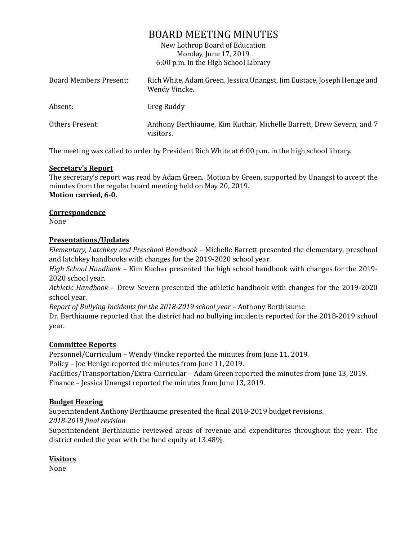# BOARD MEETING MINUTES

New Lothrop Board of Education Monday, June 17, 2019 6:00 p.m. in the High School Library

| Board Members Present: | Rich White, Adam Green, Jessica Unangst, Jim Eustace, Joseph Henige and<br>Wendy Vincke. |
|------------------------|------------------------------------------------------------------------------------------|
| Absent:                | Greg Ruddy                                                                               |
| Others Present:        | Anthony Berthiaume, Kim Kuchar, Michelle Barrett, Drew Severn, and 7<br>visitors.        |

The meeting was called to order by President Rich White at 6:00 p.m. in the high school library.

## **Secretary's Report**

The secretary's report was read by Adam Green. Motion by Green, supported by Unangst to accept the minutes from the regular board meeting held on May 20, 2019. **Motion carried, 6-0.**

## **Correspondence**

None

## **Presentations/Updates**

*Elementary, Latchkey and Preschool Handbook* – Michelle Barrett presented the elementary, preschool and latchkey handbooks with changes for the 2019-2020 school year.

*High School Handbook* – Kim Kuchar presented the high school handbook with changes for the 2019- 2020 school year.

*Athletic Handbook* – Drew Severn presented the athletic handbook with changes for the 2019-2020 school year.

*Report of Bullying Incidents for the 2018-2019 school year* – Anthony Berthiaume

Dr. Berthiaume reported that the district had no bullying incidents reported for the 2018-2019 school year.

## **Committee Reports**

Personnel/Curriculum – Wendy Vincke reported the minutes from June 11, 2019.

Policy – Joe Henige reported the minutes from June 11, 2019.

Facilities/Transportation/Extra-Curricular – Adam Green reported the minutes from June 13, 2019. Finance – Jessica Unangst reported the minutes from June 13, 2019.

# **Budget Hearing**

Superintendent Anthony Berthiaume presented the final 2018-2019 budget revisions.

*2018-2019 final revision*

Superintendent Berthiaume reviewed areas of revenue and expenditures throughout the year. The district ended the year with the fund equity at 13.48%.

# **Visitors**

None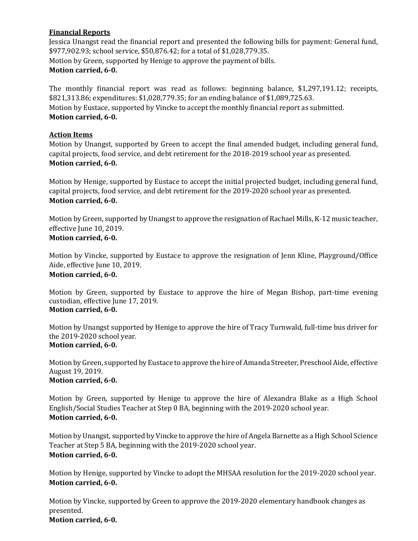## **Financial Reports**

Jessica Unangst read the financial report and presented the following bills for payment: General fund, \$977,902.93; school service, \$50,876.42; for a total of \$1,028,779.35. Motion by Green, supported by Henige to approve the payment of bills. **Motion carried, 6-0.**

The monthly financial report was read as follows: beginning balance, \$1,297,191.12; receipts, \$821,313.86; expenditures: \$1,028,779.35; for an ending balance of \$1,089,725.63. Motion by Eustace, supported by Vincke to accept the monthly financial report as submitted. **Motion carried, 6-0.**

## **Action Items**

Motion by Unangst, supported by Green to accept the final amended budget, including general fund, capital projects, food service, and debt retirement for the 2018-2019 school year as presented. **Motion carried, 6-0.**

Motion by Henige, supported by Eustace to accept the initial projected budget, including general fund, capital projects, food service, and debt retirement for the 2019-2020 school year as presented. **Motion carried, 6-0.**

Motion by Green, supported by Unangst to approve the resignation of Rachael Mills, K-12 music teacher, effective June 10, 2019. **Motion carried, 6-0.**

Motion by Vincke, supported by Eustace to approve the resignation of Jenn Kline, Playground/Office Aide, effective June 10, 2019. **Motion carried, 6-0.**

Motion by Green, supported by Eustace to approve the hire of Megan Bishop, part-time evening custodian, effective June 17, 2019. **Motion carried, 6-0.**

Motion by Unangst supported by Henige to approve the hire of Tracy Turnwald, full-time bus driver for the 2019-2020 school year. **Motion carried, 6-0.**

Motion by Green, supported by Eustace to approve the hire of Amanda Streeter, Preschool Aide, effective August 19, 2019. **Motion carried, 6-0.**

Motion by Green, supported by Henige to approve the hire of Alexandra Blake as a High School English/Social Studies Teacher at Step 0 BA, beginning with the 2019-2020 school year. **Motion carried, 6-0.**

Motion by Unangst, supported by Vincke to approve the hire of Angela Barnette as a High School Science Teacher at Step 5 BA, beginning with the 2019-2020 school year. **Motion carried, 6-0.**

Motion by Henige, supported by Vincke to adopt the MHSAA resolution for the 2019-2020 school year. **Motion carried, 6-0.**

Motion by Vincke, supported by Green to approve the 2019-2020 elementary handbook changes as presented.

**Motion carried, 6-0.**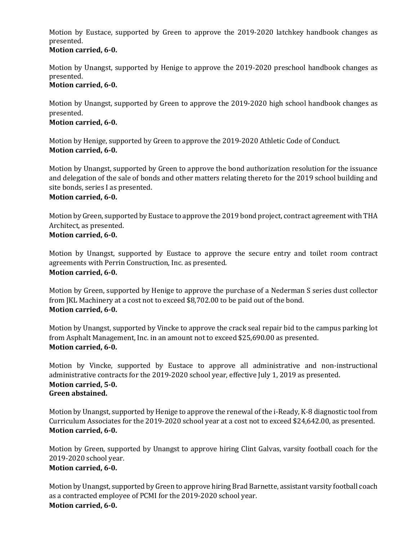Motion by Eustace, supported by Green to approve the 2019-2020 latchkey handbook changes as presented.

## **Motion carried, 6-0.**

Motion by Unangst, supported by Henige to approve the 2019-2020 preschool handbook changes as presented.

## **Motion carried, 6-0.**

Motion by Unangst, supported by Green to approve the 2019-2020 high school handbook changes as presented.

## **Motion carried, 6-0.**

Motion by Henige, supported by Green to approve the 2019-2020 Athletic Code of Conduct. **Motion carried, 6-0.**

Motion by Unangst, supported by Green to approve the bond authorization resolution for the issuance and delegation of the sale of bonds and other matters relating thereto for the 2019 school building and site bonds, series I as presented.

## **Motion carried, 6-0.**

Motion by Green, supported by Eustace to approve the 2019 bond project, contract agreement with THA Architect, as presented.

# **Motion carried, 6-0.**

Motion by Unangst, supported by Eustace to approve the secure entry and toilet room contract agreements with Perrin Construction, Inc. as presented. **Motion carried, 6-0.**

Motion by Green, supported by Henige to approve the purchase of a Nederman S series dust collector from JKL Machinery at a cost not to exceed \$8,702.00 to be paid out of the bond. **Motion carried, 6-0.**

Motion by Unangst, supported by Vincke to approve the crack seal repair bid to the campus parking lot from Asphalt Management, Inc. in an amount not to exceed \$25,690.00 as presented. **Motion carried, 6-0.**

Motion by Vincke, supported by Eustace to approve all administrative and non-instructional administrative contracts for the 2019-2020 school year, effective July 1, 2019 as presented. **Motion carried, 5-0. Green abstained.**

Motion by Unangst, supported by Henige to approve the renewal of the i-Ready, K-8 diagnostic tool from Curriculum Associates for the 2019-2020 school year at a cost not to exceed \$24,642.00, as presented. **Motion carried, 6-0.**

Motion by Green, supported by Unangst to approve hiring Clint Galvas, varsity football coach for the 2019-2020 school year.

# **Motion carried, 6-0.**

Motion by Unangst, supported by Green to approve hiring Brad Barnette, assistant varsity football coach as a contracted employee of PCMI for the 2019-2020 school year. **Motion carried, 6-0.**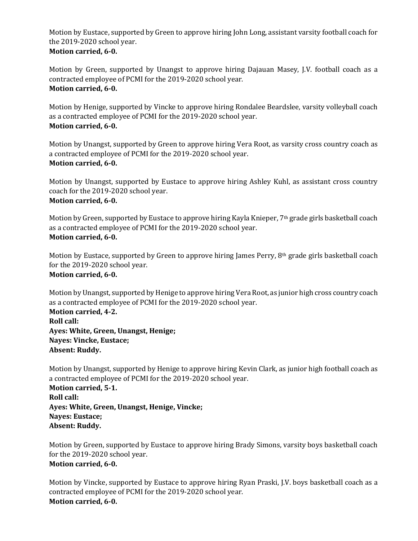Motion by Eustace, supported by Green to approve hiring John Long, assistant varsity football coach for the 2019-2020 school year. **Motion carried, 6-0.**

Motion by Green, supported by Unangst to approve hiring Dajauan Masey, J.V. football coach as a contracted employee of PCMI for the 2019-2020 school year. **Motion carried, 6-0.**

Motion by Henige, supported by Vincke to approve hiring Rondalee Beardslee, varsity volleyball coach as a contracted employee of PCMI for the 2019-2020 school year. **Motion carried, 6-0.**

Motion by Unangst, supported by Green to approve hiring Vera Root, as varsity cross country coach as a contracted employee of PCMI for the 2019-2020 school year. **Motion carried, 6-0.**

Motion by Unangst, supported by Eustace to approve hiring Ashley Kuhl, as assistant cross country coach for the 2019-2020 school year. **Motion carried, 6-0.**

Motion by Green, supported by Eustace to approve hiring Kayla Knieper, 7<sup>th</sup> grade girls basketball coach as a contracted employee of PCMI for the 2019-2020 school year. **Motion carried, 6-0.**

Motion by Eustace, supported by Green to approve hiring James Perry, 8th grade girls basketball coach for the 2019-2020 school year. **Motion carried, 6-0.**

Motion by Unangst, supported by Henige to approve hiring Vera Root, as junior high cross country coach as a contracted employee of PCMI for the 2019-2020 school year. **Motion carried, 4-2. Roll call: Ayes: White, Green, Unangst, Henige; Nayes: Vincke, Eustace;**

**Absent: Ruddy.**

Motion by Unangst, supported by Henige to approve hiring Kevin Clark, as junior high football coach as a contracted employee of PCMI for the 2019-2020 school year. **Motion carried, 5-1. Roll call: Ayes: White, Green, Unangst, Henige, Vincke; Nayes: Eustace; Absent: Ruddy.**

Motion by Green, supported by Eustace to approve hiring Brady Simons, varsity boys basketball coach for the 2019-2020 school year. **Motion carried, 6-0.**

Motion by Vincke, supported by Eustace to approve hiring Ryan Praski, J.V. boys basketball coach as a contracted employee of PCMI for the 2019-2020 school year. **Motion carried, 6-0.**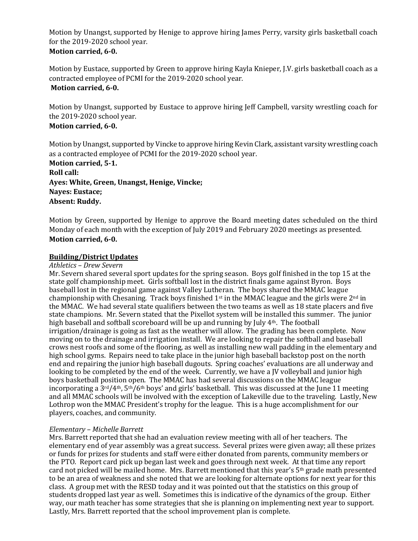Motion by Unangst, supported by Henige to approve hiring James Perry, varsity girls basketball coach for the 2019-2020 school year. **Motion carried, 6-0.**

Motion by Eustace, supported by Green to approve hiring Kayla Knieper, J.V. girls basketball coach as a contracted employee of PCMI for the 2019-2020 school year. **Motion carried, 6-0.**

Motion by Unangst, supported by Eustace to approve hiring Jeff Campbell, varsity wrestling coach for the 2019-2020 school year.

# **Motion carried, 6-0.**

Motion by Unangst, supported by Vincke to approve hiring Kevin Clark, assistant varsity wrestling coach as a contracted employee of PCMI for the 2019-2020 school year.

**Motion carried, 5-1. Roll call: Ayes: White, Green, Unangst, Henige, Vincke; Nayes: Eustace; Absent: Ruddy.**

Motion by Green, supported by Henige to approve the Board meeting dates scheduled on the third Monday of each month with the exception of July 2019 and February 2020 meetings as presented. **Motion carried, 6-0.**

#### **Building/District Updates**

#### *Athletics – Drew Severn*

Mr. Severn shared several sport updates for the spring season. Boys golf finished in the top 15 at the state golf championship meet. Girls softball lost in the district finals game against Byron. Boys baseball lost in the regional game against Valley Lutheran. The boys shared the MMAC league championship with Chesaning. Track boys finished  $1<sup>st</sup>$  in the MMAC league and the girls were  $2<sup>nd</sup>$  in the MMAC. We had several state qualifiers between the two teams as well as 18 state placers and five state champions. Mr. Severn stated that the Pixellot system will be installed this summer. The junior high baseball and softball scoreboard will be up and running by July 4th. The football irrigation/drainage is going as fast as the weather will allow. The grading has been complete. Now moving on to the drainage and irrigation install. We are looking to repair the softball and baseball crows nest roofs and some of the flooring, as well as installing new wall padding in the elementary and high school gyms. Repairs need to take place in the junior high baseball backstop post on the north end and repairing the junior high baseball dugouts. Spring coaches' evaluations are all underway and looking to be completed by the end of the week. Currently, we have a JV volleyball and junior high boys basketball position open. The MMAC has had several discussions on the MMAC league incorporating a  $3^{rd}/4^{th}$ ,  $5^{th}/6^{th}$  boys' and girls' basketball. This was discussed at the June 11 meeting and all MMAC schools will be involved with the exception of Lakeville due to the traveling. Lastly, New Lothrop won the MMAC President's trophy for the league. This is a huge accomplishment for our players, coaches, and community.

#### *Elementary – Michelle Barrett*

Mrs. Barrett reported that she had an evaluation review meeting with all of her teachers. The elementary end of year assembly was a great success. Several prizes were given away; all these prizes or funds for prizes for students and staff were either donated from parents, community members or the PTO. Report card pick up began last week and goes through next week. At that time any report card not picked will be mailed home. Mrs. Barrett mentioned that this year's 5th grade math presented to be an area of weakness and she noted that we are looking for alternate options for next year for this class. A group met with the RESD today and it was pointed out that the statistics on this group of students dropped last year as well. Sometimes this is indicative of the dynamics of the group. Either way, our math teacher has some strategies that she is planning on implementing next year to support. Lastly, Mrs. Barrett reported that the school improvement plan is complete.